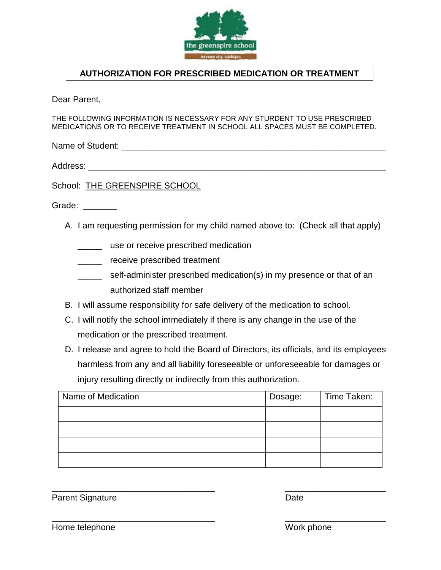

## **AUTHORIZATION FOR PRESCRIBED MEDICATION OR TREATMENT**

Dear Parent,

THE FOLLOWING INFORMATION IS NECESSARY FOR ANY STURDENT TO USE PRESCRIBED MEDICATIONS OR TO RECEIVE TREATMENT IN SCHOOL ALL SPACES MUST BE COMPLETED.

Name of Student: \_\_\_\_\_\_\_\_\_\_\_\_\_\_\_\_\_\_\_\_\_\_\_\_\_\_\_\_\_\_\_\_\_\_\_\_\_\_\_\_\_\_\_\_\_\_\_\_\_\_\_\_\_\_\_

Address: \_\_\_\_\_\_\_\_\_\_\_\_\_\_\_\_\_\_\_\_\_\_\_\_\_\_\_\_\_\_\_\_\_\_\_\_\_\_\_\_\_\_\_\_\_\_\_\_\_\_\_\_\_\_\_\_\_\_\_\_\_\_

School: THE GREENSPIRE SCHOOL

Grade:

- A. I am requesting permission for my child named above to: (Check all that apply)
	- \_\_\_\_\_ use or receive prescribed medication
	- \_\_\_\_\_\_ receive prescribed treatment
	- \_\_\_\_\_ self-administer prescribed medication(s) in my presence or that of an authorized staff member
- B. I will assume responsibility for safe delivery of the medication to school.
- C. I will notify the school immediately if there is any change in the use of the medication or the prescribed treatment.
- D. I release and agree to hold the Board of Directors, its officials, and its employees harmless from any and all liability foreseeable or unforeseeable for damages or injury resulting directly or indirectly from this authorization.

| Name of Medication | Dosage: | Time Taken: |
|--------------------|---------|-------------|
|                    |         |             |
|                    |         |             |
|                    |         |             |
|                    |         |             |

\_\_\_\_\_\_\_\_\_\_\_\_\_\_\_\_\_\_\_\_\_\_\_\_\_\_\_\_\_\_\_\_\_\_ \_\_\_\_\_\_\_\_\_\_\_\_\_\_\_\_\_\_\_\_\_

Parent Signature Date

\_\_\_\_\_\_\_\_\_\_\_\_\_\_\_\_\_\_\_\_\_\_\_\_\_\_\_\_\_\_\_\_\_\_ \_\_\_\_\_\_\_\_\_\_\_\_\_\_\_\_\_\_\_\_\_

Home telephone Work phone